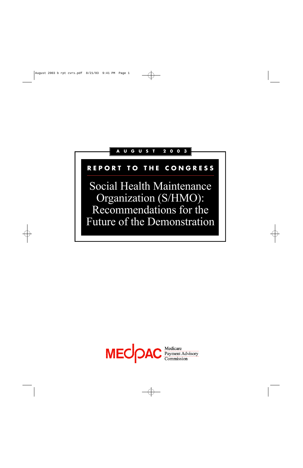# **A U G U S T 2 0 0 3**

# **R E P O R T T O T H E C O N G R E S S**

Social Health Maintenance Organization (S/HMO): Recommendations for the Future of the Demonstration

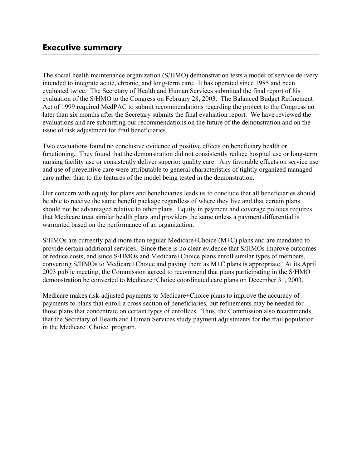# **Executive summary**

The social health maintenance organization (S/HMO) demonstration tests a model of service delivery intended to integrate acute, chronic, and long-term care. It has operated since 1985 and been evaluated twice. The Secretary of Health and Human Services submitted the final report of his evaluation of the S/HMO to the Congress on February 28, 2003. The Balanced Budget Refinement Act of 1999 required MedPAC to submit recommendations regarding the project to the Congress no later than six months after the Secretary submits the final evaluation report. We have reviewed the evaluations and are submitting our recommendations on the future of the demonstration and on the issue of risk adjustment for frail beneficiaries.

Two evaluations found no conclusive evidence of positive effects on beneficiary health or functioning. They found that the demonstration did not consistently reduce hospital use or long-term nursing facility use or consistently deliver superior quality care. Any favorable effects on service use and use of preventive care were attributable to general characteristics of tightly organized managed care rather than to the features of the model being tested in the demonstration.

Our concern with equity for plans and beneficiaries leads us to conclude that all beneficiaries should be able to receive the same benefit package regardless of where they live and that certain plans should not be advantaged relative to other plans. Equity in payment and coverage policies requires that Medicare treat similar health plans and providers the same unless a payment differential is warranted based on the performance of an organization.

S/HMOs are currently paid more than regular Medicare+Choice (M+C) plans and are mandated to provide certain additional services. Since there is no clear evidence that S/HMOs improve outcomes or reduce costs, and since S/HMOs and Medicare+Choice plans enroll similar types of members, converting S/HMOs to Medicare+Choice and paying them as M+C plans is appropriate. At its April 2003 public meeting, the Commission agreed to recommend that plans participating in the S/HMO demonstration be converted to Medicare+Choice coordinated care plans on December 31, 2003.

Medicare makes risk-adjusted payments to Medicare+Choice plans to improve the accuracy of payments to plans that enroll a cross section of beneficiaries, but refinements may be needed for those plans that concentrate on certain types of enrollees. Thus, the Commission also recommends that the Secretary of Health and Human Services study payment adjustments for the frail population in the Medicare+Choice program.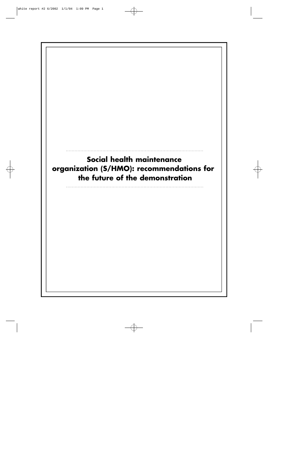# **Social health maintenance organization (S/HMO): recommendations for the future of the demonstration**

. . . . . . . . . . . . . . . . . . . . . . . . . . . . . . . . . . . . . . . . . . . . . . . . . . . . . . . . . . . . . . . . . . . . . . . . . . . . . . . . . . . . . . . . . . . . . .

. . . . . . . . . . . . . . . . . . . . . . . . . . . . . . . . . . . . . . . . . . . . . . . . . . . . . . . . . . . . . . . . . . . . . . . . . . . . . . . . . . . . . . . . . . . . . .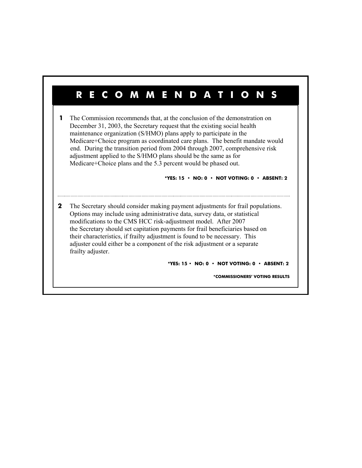# **RECOMMENDATIONS**

**1** The Commission recommends that, at the conclusion of the demonstration on December 31, 2003, the Secretary request that the existing social health maintenance organization (S/HMO) plans apply to participate in the Medicare+Choice program as coordinated care plans. The benefit mandate would end. During the transition period from 2004 through 2007, comprehensive risk adjustment applied to the S/HMO plans should be the same as for Medicare+Choice plans and the 5.3 percent would be phased out.

#### **\*YES: 15 • NO: 0 • NOT VOTING: 0 • ABSENT: 2**

 **2** The Secretary should consider making payment adjustments for frail populations. Options may include using administrative data, survey data, or statistical modifications to the CMS HCC risk-adjustment model. After 2007 the Secretary should set capitation payments for frail beneficiaries based on their characteristics, if frailty adjustment is found to be necessary. This adjuster could either be a component of the risk adjustment or a separate frailty adjuster.

 **\*YES: 15 • NO: 0 • NOT VOTING: 0 • ABSENT: 2** 

 **\*COMMISSIONERS' VOTING RESULTS**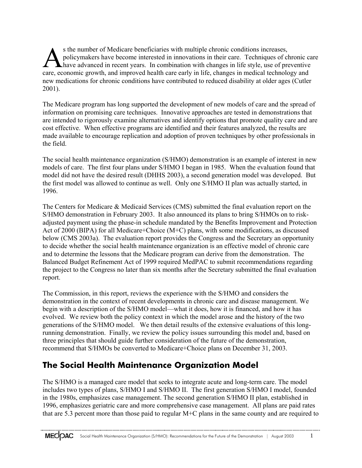S the number of Medicare beneficiaries with multiple chronic conditions increases,<br>policymakers have become interested in innovations in their care. Techniques of chronic care<br>have advanced in recent years. In combination policymakers have become interested in innovations in their care. Techniques of chronic care care, economic growth, and improved health care early in life, changes in medical technology and new medications for chronic conditions have contributed to reduced disability at older ages (Cutler 2001).

The Medicare program has long supported the development of new models of care and the spread of information on promising care techniques. Innovative approaches are tested in demonstrations that are intended to rigorously examine alternatives and identify options that promote quality care and are cost effective. When effective programs are identified and their features analyzed, the results are made available to encourage replication and adoption of proven techniques by other professionals in the field.

The social health maintenance organization (S/HMO) demonstration is an example of interest in new models of care. The first four plans under S/HMO I began in 1985. When the evaluation found that model did not have the desired result (DHHS 2003), a second generation model was developed. But the first model was allowed to continue as well. Only one S/HMO II plan was actually started, in 1996.

The Centers for Medicare & Medicaid Services (CMS) submitted the final evaluation report on the S/HMO demonstration in February 2003. It also announced its plans to bring S/HMOs on to riskadjusted payment using the phase-in schedule mandated by the Benefits Improvement and Protection Act of 2000 (BIPA) for all Medicare+Choice (M+C) plans, with some modifications, as discussed below (CMS 2003a). The evaluation report provides the Congress and the Secretary an opportunity to decide whether the social health maintenance organization is an effective model of chronic care and to determine the lessons that the Medicare program can derive from the demonstration. The Balanced Budget Refinement Act of 1999 required MedPAC to submit recommendations regarding the project to the Congress no later than six months after the Secretary submitted the final evaluation report.

The Commission, in this report, reviews the experience with the S/HMO and considers the demonstration in the context of recent developments in chronic care and disease management. We begin with a description of the S/HMO model—what it does, how it is financed, and how it has evolved. We review both the policy context in which the model arose and the history of the two generations of the S/HMO model. We then detail results of the extensive evaluations of this longrunning demonstration. Finally, we review the policy issues surrounding this model and, based on three principles that should guide further consideration of the future of the demonstration, recommend that S/HMOs be converted to Medicare+Choice plans on December 31, 2003.

# **The Social Health Maintenance Organization Model**

The S/HMO is a managed care model that seeks to integrate acute and long-term care. The model includes two types of plans, S/HMO I and S/HMO II. The first generation S/HMO I model, founded in the 1980s, emphasizes case management. The second generation S/HMO II plan, established in 1996, emphasizes geriatric care and more comprehensive case management. All plans are paid rates that are 5.3 percent more than those paid to regular M+C plans in the same county and are required to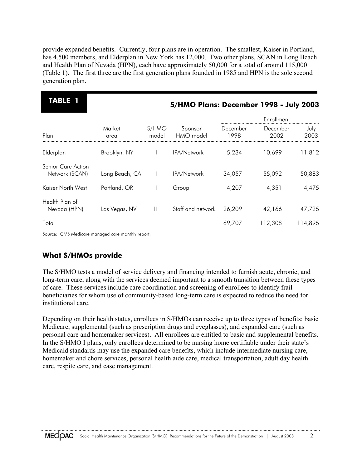provide expanded benefits. Currently, four plans are in operation. The smallest, Kaiser in Portland, has 4,500 members, and Elderplan in New York has 12,000. Two other plans, SCAN in Long Beach and Health Plan of Nevada (HPN), each have approximately 50,000 for a total of around 115,000 (Table 1). The first three are the first generation plans founded in 1985 and HPN is the sole second generation plan.

| S/HMO Plans: December 1998 - July 2003 |  |
|----------------------------------------|--|
| Enrollment                             |  |
| December<br>July<br>2002<br>2003       |  |
| 11,812<br>10,699                       |  |
| 55,092<br>50,883                       |  |
| 4,475<br>4,351                         |  |
| 42,166<br>47,725                       |  |
| 114,895<br>112,308                     |  |
|                                        |  |

Source: CMS Medicare managed care monthly report.

## **What S/HMOs provide**

The S/HMO tests a model of service delivery and financing intended to furnish acute, chronic, and long-term care, along with the services deemed important to a smooth transition between these types of care. These services include care coordination and screening of enrollees to identify frail beneficiaries for whom use of community-based long-term care is expected to reduce the need for institutional care.

Depending on their health status, enrollees in S/HMOs can receive up to three types of benefits: basic Medicare, supplemental (such as prescription drugs and eyeglasses), and expanded care (such as personal care and homemaker services). All enrollees are entitled to basic and supplemental benefits. In the S/HMO I plans, only enrollees determined to be nursing home certifiable under their state's Medicaid standards may use the expanded care benefits, which include intermediate nursing care, homemaker and chore services, personal health aide care, medical transportation, adult day health care, respite care, and case management.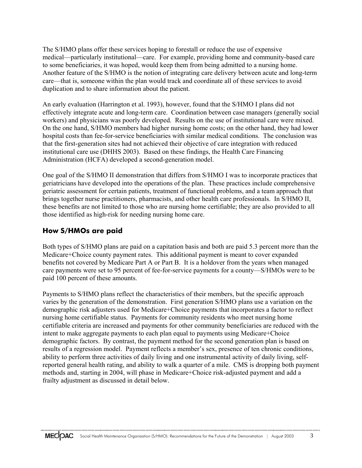The S/HMO plans offer these services hoping to forestall or reduce the use of expensive medical—particularly institutional—care. For example, providing home and community-based care to some beneficiaries, it was hoped, would keep them from being admitted to a nursing home. Another feature of the S/HMO is the notion of integrating care delivery between acute and long-term care—that is, someone within the plan would track and coordinate all of these services to avoid duplication and to share information about the patient.

An early evaluation (Harrington et al. 1993), however, found that the S/HMO I plans did not effectively integrate acute and long-term care. Coordination between case managers (generally social workers) and physicians was poorly developed. Results on the use of institutional care were mixed. On the one hand, S/HMO members had higher nursing home costs; on the other hand, they had lower hospital costs than fee-for-service beneficiaries with similar medical conditions. The conclusion was that the first-generation sites had not achieved their objective of care integration with reduced institutional care use (DHHS 2003). Based on these findings, the Health Care Financing Administration (HCFA) developed a second-generation model.

One goal of the S/HMO II demonstration that differs from S/HMO I was to incorporate practices that geriatricians have developed into the operations of the plan. These practices include comprehensive geriatric assessment for certain patients, treatment of functional problems, and a team approach that brings together nurse practitioners, pharmacists, and other health care professionals. In S/HMO II, these benefits are not limited to those who are nursing home certifiable; they are also provided to all those identified as high-risk for needing nursing home care.

## **How S/HMOs are paid**

Both types of S/HMO plans are paid on a capitation basis and both are paid 5.3 percent more than the Medicare+Choice county payment rates. This additional payment is meant to cover expanded benefits not covered by Medicare Part A or Part B. It is a holdover from the years when managed care payments were set to 95 percent of fee-for-service payments for a county—S/HMOs were to be paid 100 percent of these amounts.

Payments to S/HMO plans reflect the characteristics of their members, but the specific approach varies by the generation of the demonstration. First generation S/HMO plans use a variation on the demographic risk adjusters used for Medicare+Choice payments that incorporates a factor to reflect nursing home certifiable status. Payments for community residents who meet nursing home certifiable criteria are increased and payments for other community beneficiaries are reduced with the intent to make aggregate payments to each plan equal to payments using Medicare+Choice demographic factors. By contrast, the payment method for the second generation plan is based on results of a regression model. Payment reflects a member's sex, presence of ten chronic conditions, ability to perform three activities of daily living and one instrumental activity of daily living, selfreported general health rating, and ability to walk a quarter of a mile. CMS is dropping both payment methods and, starting in 2004, will phase in Medicare+Choice risk-adjusted payment and add a frailty adjustment as discussed in detail below.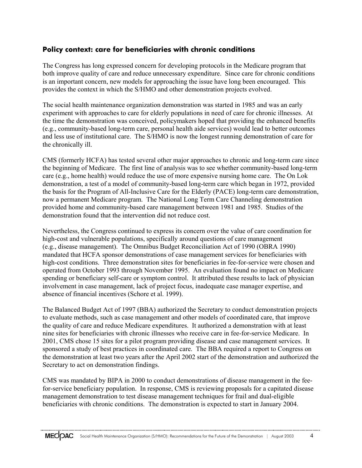## **Policy context: care for beneficiaries with chronic conditions**

The Congress has long expressed concern for developing protocols in the Medicare program that both improve quality of care and reduce unnecessary expenditure. Since care for chronic conditions is an important concern, new models for approaching the issue have long been encouraged. This provides the context in which the S/HMO and other demonstration projects evolved.

The social health maintenance organization demonstration was started in 1985 and was an early experiment with approaches to care for elderly populations in need of care for chronic illnesses. At the time the demonstration was conceived, policymakers hoped that providing the enhanced benefits (e.g., community-based long-term care, personal health aide services) would lead to better outcomes and less use of institutional care. The S/HMO is now the longest running demonstration of care for the chronically ill.

CMS (formerly HCFA) has tested several other major approaches to chronic and long-term care since the beginning of Medicare. The first line of analysis was to see whether community-based long-term care (e.g., home health) would reduce the use of more expensive nursing home care. The On Lok demonstration, a test of a model of community-based long-term care which began in 1972, provided the basis for the Program of All-Inclusive Care for the Elderly (PACE) long-term care demonstration, now a permanent Medicare program. The National Long Term Care Channeling demonstration provided home and community-based care management between 1981 and 1985. Studies of the demonstration found that the intervention did not reduce cost.

Nevertheless, the Congress continued to express its concern over the value of care coordination for high-cost and vulnerable populations, specifically around questions of care management (e.g., disease management). The Omnibus Budget Reconciliation Act of 1990 (OBRA 1990) mandated that HCFA sponsor demonstrations of case management services for beneficiaries with high-cost conditions. Three demonstration sites for beneficiaries in fee-for-service were chosen and operated from October 1993 through November 1995. An evaluation found no impact on Medicare spending or beneficiary self-care or symptom control. It attributed these results to lack of physician involvement in case management, lack of project focus, inadequate case manager expertise, and absence of financial incentives (Schore et al. 1999).

The Balanced Budget Act of 1997 (BBA) authorized the Secretary to conduct demonstration projects to evaluate methods, such as case management and other models of coordinated care, that improve the quality of care and reduce Medicare expenditures. It authorized a demonstration with at least nine sites for beneficiaries with chronic illnesses who receive care in fee-for-service Medicare. In 2001, CMS chose 15 sites for a pilot program providing disease and case management services. It sponsored a study of best practices in coordinated care. The BBA required a report to Congress on the demonstration at least two years after the April 2002 start of the demonstration and authorized the Secretary to act on demonstration findings.

CMS was mandated by BIPA in 2000 to conduct demonstrations of disease management in the feefor-service beneficiary population. In response, CMS is reviewing proposals for a capitated disease management demonstration to test disease management techniques for frail and dual-eligible beneficiaries with chronic conditions. The demonstration is expected to start in January 2004.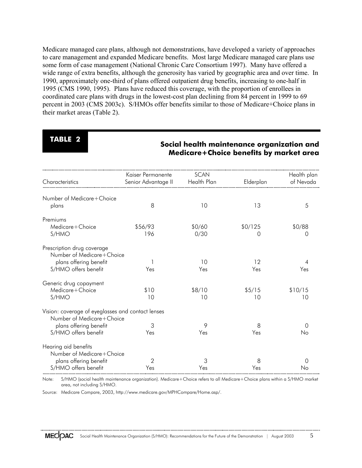Medicare managed care plans, although not demonstrations, have developed a variety of approaches to care management and expanded Medicare benefits. Most large Medicare managed care plans use some form of case management (National Chronic Care Consortium 1997). Many have offered a wide range of extra benefits, although the generosity has varied by geographic area and over time. In 1990, approximately one-third of plans offered outpatient drug benefits, increasing to one-half in 1995 (CMS 1990, 1995). Plans have reduced this coverage, with the proportion of enrollees in coordinated care plans with drugs in the lowest-cost plan declining from 84 percent in 1999 to 69 percent in 2003 (CMS 2003c). S/HMOs offer benefits similar to those of Medicare+Choice plans in their market areas (Table 2).

# **TABLE 2**

## **Social health maintenance organization and Medicare+Choice benefits by market area**

|                                                   | Kaiser Permanente   | <b>SCAN</b> |           | Health plan      |
|---------------------------------------------------|---------------------|-------------|-----------|------------------|
| Characteristics                                   | Senior Advantage II | Health Plan | Elderplan | of Nevada        |
|                                                   |                     |             |           |                  |
| Number of Medicare+Choice                         |                     |             |           |                  |
| plans                                             | 8                   | 10          | 13        | 5                |
|                                                   |                     |             |           |                  |
| Premiums                                          |                     |             |           |                  |
| Medicare+Choice                                   | \$56/93             | \$0/60      | \$0/125   | \$0/88           |
|                                                   | 196                 |             |           |                  |
| S/HMO                                             |                     | 0/30        | 0         | 0                |
|                                                   |                     |             |           |                  |
| Prescription drug coverage                        |                     |             |           |                  |
| Number of Medicare+Choice                         |                     |             |           |                  |
| plans offering benefit                            |                     | 10          | 12        | 4                |
| S/HMO offers benefit                              | Yes                 | Yes         | Yes       | Yes              |
|                                                   |                     |             |           |                  |
| Generic drug copayment                            |                     |             |           |                  |
| Medicare+Choice                                   | \$10                | \$8/10      | \$5/15    | \$10/15          |
| S/HMO                                             | 10                  | 10          | 10        | 10               |
|                                                   |                     |             |           |                  |
| Vision: coverage of eyeglasses and contact lenses |                     |             |           |                  |
| Number of Medicare+Choice                         |                     |             |           |                  |
| plans offering benefit                            | 3                   | 9           | 8         | Ω                |
| S/HMO offers benefit                              | Yes                 | Yes         | Yes       | No               |
| Hearing aid benefits                              |                     |             |           |                  |
| Number of Medicare+Choice                         |                     |             |           |                  |
|                                                   |                     |             |           |                  |
| plans offering benefit                            | 2                   | 3           | 8         | $\left( \right)$ |
| S/HMO offers benefit                              | Yes                 | Yes         | Yes       | No               |

Note: S/HMO (social health maintenance organization). Medicare+Choice refers to all Medicare+Choice plans within a S/HMO market area, not including S/HMO.

Source: Medicare Compare, 2003, http://www.medicare.gov/MPHCompare/Home.asp/.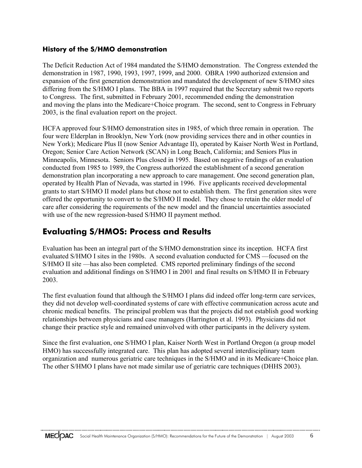## **History of the S/HMO demonstration**

The Deficit Reduction Act of 1984 mandated the S/HMO demonstration. The Congress extended the demonstration in 1987, 1990, 1993, 1997, 1999, and 2000. OBRA 1990 authorized extension and expansion of the first generation demonstration and mandated the development of new S/HMO sites differing from the S/HMO I plans. The BBA in 1997 required that the Secretary submit two reports to Congress. The first, submitted in February 2001, recommended ending the demonstration and moving the plans into the Medicare+Choice program. The second, sent to Congress in February 2003, is the final evaluation report on the project.

HCFA approved four S/HMO demonstration sites in 1985, of which three remain in operation. The four were Elderplan in Brooklyn, New York (now providing services there and in other counties in New York); Medicare Plus II (now Senior Advantage II), operated by Kaiser North West in Portland, Oregon; Senior Care Action Network (SCAN) in Long Beach, California; and Seniors Plus in Minneapolis, Minnesota. Seniors Plus closed in 1995. Based on negative findings of an evaluation conducted from 1985 to 1989, the Congress authorized the establishment of a second generation demonstration plan incorporating a new approach to care management. One second generation plan, operated by Health Plan of Nevada, was started in 1996. Five applicants received developmental grants to start S/HMO II model plans but chose not to establish them. The first generation sites were offered the opportunity to convert to the S/HMO II model. They chose to retain the older model of care after considering the requirements of the new model and the financial uncertainties associated with use of the new regression-based S/HMO II payment method.

# **Evaluating S/HMOS: Process and Results**

Evaluation has been an integral part of the S/HMO demonstration since its inception. HCFA first evaluated S/HMO I sites in the 1980s. A second evaluation conducted for CMS —focused on the S/HMO II site —has also been completed. CMS reported preliminary findings of the second evaluation and additional findings on S/HMO I in 2001 and final results on S/HMO II in February 2003.

The first evaluation found that although the S/HMO I plans did indeed offer long-term care services, they did not develop well-coordinated systems of care with effective communication across acute and chronic medical benefits. The principal problem was that the projects did not establish good working relationships between physicians and case managers (Harrington et al. 1993). Physicians did not change their practice style and remained uninvolved with other participants in the delivery system.

Since the first evaluation, one S/HMO I plan, Kaiser North West in Portland Oregon (a group model HMO) has successfully integrated care. This plan has adopted several interdisciplinary team organization and numerous geriatric care techniques in the S/HMO and in its Medicare+Choice plan. The other S/HMO I plans have not made similar use of geriatric care techniques (DHHS 2003).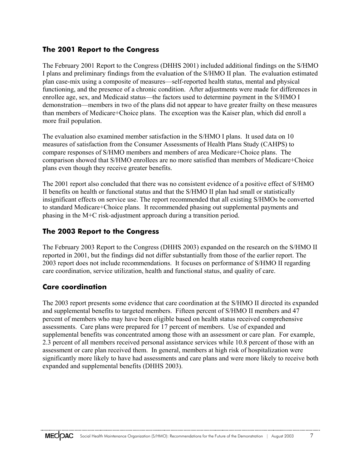## **The 2001 Report to the Congress**

The February 2001 Report to the Congress (DHHS 2001) included additional findings on the S/HMO I plans and preliminary findings from the evaluation of the S/HMO II plan. The evaluation estimated plan case-mix using a composite of measures—self-reported health status, mental and physical functioning, and the presence of a chronic condition. After adjustments were made for differences in enrollee age, sex, and Medicaid status—the factors used to determine payment in the S/HMO I demonstration—members in two of the plans did not appear to have greater frailty on these measures than members of Medicare+Choice plans. The exception was the Kaiser plan, which did enroll a more frail population.

The evaluation also examined member satisfaction in the S/HMO I plans. It used data on 10 measures of satisfaction from the Consumer Assessments of Health Plans Study (CAHPS) to compare responses of S/HMO members and members of area Medicare+Choice plans. The comparison showed that S/HMO enrollees are no more satisfied than members of Medicare+Choice plans even though they receive greater benefits.

The 2001 report also concluded that there was no consistent evidence of a positive effect of S/HMO II benefits on health or functional status and that the S/HMO II plan had small or statistically insignificant effects on service use. The report recommended that all existing S/HMOs be converted to standard Medicare+Choice plans. It recommended phasing out supplemental payments and phasing in the M+C risk-adjustment approach during a transition period.

## **The 2003 Report to the Congress**

The February 2003 Report to the Congress (DHHS 2003) expanded on the research on the S/HMO II reported in 2001, but the findings did not differ substantially from those of the earlier report. The 2003 report does not include recommendations. It focuses on performance of S/HMO II regarding care coordination, service utilization, health and functional status, and quality of care.

## **Care coordination**

The 2003 report presents some evidence that care coordination at the S/HMO II directed its expanded and supplemental benefits to targeted members. Fifteen percent of S/HMO II members and 47 percent of members who may have been eligible based on health status received comprehensive assessments. Care plans were prepared for 17 percent of members. Use of expanded and supplemental benefits was concentrated among those with an assessment or care plan. For example, 2.3 percent of all members received personal assistance services while 10.8 percent of those with an assessment or care plan received them. In general, members at high risk of hospitalization were significantly more likely to have had assessments and care plans and were more likely to receive both expanded and supplemental benefits (DHHS 2003).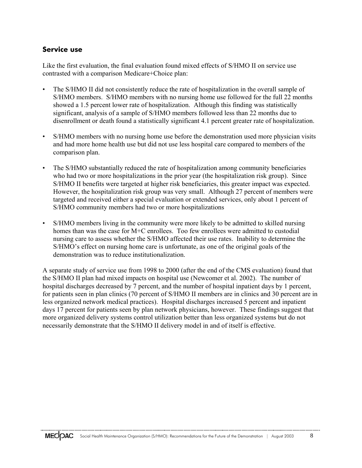## **Service use**

Like the first evaluation, the final evaluation found mixed effects of S/HMO II on service use contrasted with a comparison Medicare+Choice plan:

- The S/HMO II did not consistently reduce the rate of hospitalization in the overall sample of S/HMO members. S/HMO members with no nursing home use followed for the full 22 months showed a 1.5 percent lower rate of hospitalization. Although this finding was statistically significant, analysis of a sample of S/HMO members followed less than 22 months due to disenrollment or death found a statistically significant 4.1 percent greater rate of hospitalization.
- S/HMO members with no nursing home use before the demonstration used more physician visits and had more home health use but did not use less hospital care compared to members of the comparison plan.
- The S/HMO substantially reduced the rate of hospitalization among community beneficiaries who had two or more hospitalizations in the prior year (the hospitalization risk group). Since S/HMO II benefits were targeted at higher risk beneficiaries, this greater impact was expected. However, the hospitalization risk group was very small. Although 27 percent of members were targeted and received either a special evaluation or extended services, only about 1 percent of S/HMO community members had two or more hospitalizations
- S/HMO members living in the community were more likely to be admitted to skilled nursing homes than was the case for M+C enrollees. Too few enrollees were admitted to custodial nursing care to assess whether the S/HMO affected their use rates. Inability to determine the S/HMO's effect on nursing home care is unfortunate, as one of the original goals of the demonstration was to reduce institutionalization.

A separate study of service use from 1998 to 2000 (after the end of the CMS evaluation) found that the S/HMO II plan had mixed impacts on hospital use (Newcomer et al. 2002). The number of hospital discharges decreased by 7 percent, and the number of hospital inpatient days by 1 percent, for patients seen in plan clinics (70 percent of S/HMO II members are in clinics and 30 percent are in less organized network medical practices). Hospital discharges increased 5 percent and inpatient days 17 percent for patients seen by plan network physicians, however. These findings suggest that more organized delivery systems control utilization better than less organized systems but do not necessarily demonstrate that the S/HMO II delivery model in and of itself is effective.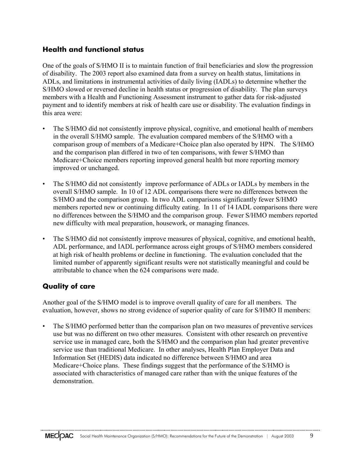## **Health and functional status**

One of the goals of S/HMO II is to maintain function of frail beneficiaries and slow the progression of disability. The 2003 report also examined data from a survey on health status, limitations in ADLs, and limitations in instrumental activities of daily living (IADLs) to determine whether the S/HMO slowed or reversed decline in health status or progression of disability. The plan surveys members with a Health and Functioning Assessment instrument to gather data for risk-adjusted payment and to identify members at risk of health care use or disability. The evaluation findings in this area were:

- The S/HMO did not consistently improve physical, cognitive, and emotional health of members in the overall S/HMO sample. The evaluation compared members of the S/HMO with a comparison group of members of a Medicare+Choice plan also operated by HPN. The S/HMO and the comparison plan differed in two of ten comparisons, with fewer S/HMO than Medicare+Choice members reporting improved general health but more reporting memory improved or unchanged.
- The S/HMO did not consistently improve performance of ADLs or IADLs by members in the overall S/HMO sample. In 10 of 12 ADL comparisons there were no differences between the S/HMO and the comparison group. In two ADL comparisons significantly fewer S/HMO members reported new or continuing difficulty eating. In 11 of 14 IADL comparisons there were no differences between the S/HMO and the comparison group. Fewer S/HMO members reported new difficulty with meal preparation, housework, or managing finances.
- The S/HMO did not consistently improve measures of physical, cognitive, and emotional health, ADL performance, and IADL performance across eight groups of S/HMO members considered at high risk of health problems or decline in functioning. The evaluation concluded that the limited number of apparently significant results were not statistically meaningful and could be attributable to chance when the 624 comparisons were made.

## **Quality of care**

Another goal of the S/HMO model is to improve overall quality of care for all members. The evaluation, however, shows no strong evidence of superior quality of care for S/HMO II members:

• The S/HMO performed better than the comparison plan on two measures of preventive services use but was no different on two other measures. Consistent with other research on preventive service use in managed care, both the S/HMO and the comparison plan had greater preventive service use than traditional Medicare. In other analyses, Health Plan Employer Data and Information Set (HEDIS) data indicated no difference between S/HMO and area Medicare+Choice plans. These findings suggest that the performance of the S/HMO is associated with characteristics of managed care rather than with the unique features of the demonstration.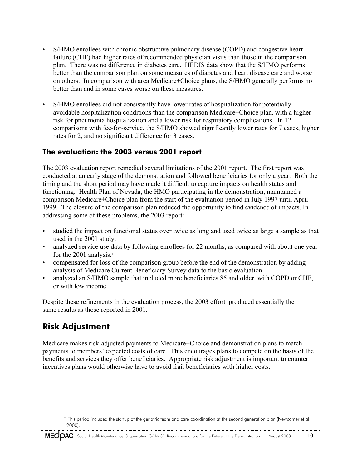- S/HMO enrollees with chronic obstructive pulmonary disease (COPD) and congestive heart failure (CHF) had higher rates of recommended physician visits than those in the comparison plan. There was no difference in diabetes care. HEDIS data show that the S/HMO performs better than the comparison plan on some measures of diabetes and heart disease care and worse on others. In comparison with area Medicare+Choice plans, the S/HMO generally performs no better than and in some cases worse on these measures.
- S/HMO enrollees did not consistently have lower rates of hospitalization for potentially avoidable hospitalization conditions than the comparison Medicare+Choice plan, with a higher risk for pneumonia hospitalization and a lower risk for respiratory complications. In 12 comparisons with fee-for-service, the S/HMO showed significantly lower rates for 7 cases, higher rates for 2, and no significant difference for 3 cases.

### **The evaluation: the 2003 versus 2001 report**

The 2003 evaluation report remedied several limitations of the 2001 report. The first report was conducted at an early stage of the demonstration and followed beneficiaries for only a year. Both the timing and the short period may have made it difficult to capture impacts on health status and functioning. Health Plan of Nevada, the HMO participating in the demonstration, maintained a comparison Medicare+Choice plan from the start of the evaluation period in July 1997 until April 1999. The closure of the comparison plan reduced the opportunity to find evidence of impacts. In addressing some of these problems, the 2003 report:

- studied the impact on functional status over twice as long and used twice as large a sample as that used in the 2001 study.
- analyzed service use data by following enrollees for 22 months, as compared with about one year for the  $2001$  analysis.<sup>1</sup>
- compensated for loss of the comparison group before the end of the demonstration by adding analysis of Medicare Current Beneficiary Survey data to the basic evaluation.
- analyzed an S/HMO sample that included more beneficiaries 85 and older, with COPD or CHF, or with low income.

Despite these refinements in the evaluation process, the 2003 effort produced essentially the same results as those reported in 2001.

# **Risk Adjustment**

Medicare makes risk-adjusted payments to Medicare+Choice and demonstration plans to match payments to members' expected costs of care. This encourages plans to compete on the basis of the benefits and services they offer beneficiaries. Appropriate risk adjustment is important to counter incentives plans would otherwise have to avoid frail beneficiaries with higher costs.

 $^1$  This period included the startup of the geriatric team and care coordination at the second generation plan (Newcomer et al. 2000).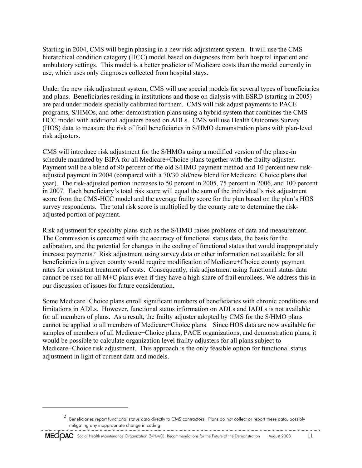Starting in 2004, CMS will begin phasing in a new risk adjustment system. It will use the CMS hierarchical condition category (HCC) model based on diagnoses from both hospital inpatient and ambulatory settings. This model is a better predictor of Medicare costs than the model currently in use, which uses only diagnoses collected from hospital stays.

Under the new risk adjustment system, CMS will use special models for several types of beneficiaries and plans. Beneficiaries residing in institutions and those on dialysis with ESRD (starting in 2005) are paid under models specially calibrated for them. CMS will risk adjust payments to PACE programs, S/HMOs, and other demonstration plans using a hybrid system that combines the CMS HCC model with additional adjusters based on ADLs. CMS will use Health Outcomes Survey (HOS) data to measure the risk of frail beneficiaries in S/HMO demonstration plans with plan-level risk adjusters.

CMS will introduce risk adjustment for the S/HMOs using a modified version of the phase-in schedule mandated by BIPA for all Medicare+Choice plans together with the frailty adjuster. Payment will be a blend of 90 percent of the old S/HMO payment method and 10 percent new riskadjusted payment in 2004 (compared with a 70/30 old/new blend for Medicare+Choice plans that year). The risk-adjusted portion increases to 50 percent in 2005, 75 percent in 2006, and 100 percent in 2007. Each beneficiary's total risk score will equal the sum of the individual's risk adjustment score from the CMS-HCC model and the average frailty score for the plan based on the plan's HOS survey respondents. The total risk score is multiplied by the county rate to determine the riskadjusted portion of payment.

Risk adjustment for specialty plans such as the S/HMO raises problems of data and measurement. The Commission is concerned with the accuracy of functional status data, the basis for the calibration, and the potential for changes in the coding of functional status that would inappropriately increase payments.<sup>2</sup> Risk adjustment using survey data or other information not available for all beneficiaries in a given county would require modification of Medicare+Choice county payment rates for consistent treatment of costs. Consequently, risk adjustment using functional status data cannot be used for all M+C plans even if they have a high share of frail enrollees. We address this in our discussion of issues for future consideration.

Some Medicare+Choice plans enroll significant numbers of beneficiaries with chronic conditions and limitations in ADLs. However, functional status information on ADLs and IADLs is not available for all members of plans. As a result, the frailty adjuster adopted by CMS for the S/HMO plans cannot be applied to all members of Medicare+Choice plans. Since HOS data are now available for samples of members of all Medicare+Choice plans, PACE organizations, and demonstration plans, it would be possible to calculate organization level frailty adjusters for all plans subject to Medicare+Choice risk adjustment. This approach is the only feasible option for functional status adjustment in light of current data and models.

 $2$  Beneficiaries report functional status data directly to CMS contractors. Plans do not collect or report these data, possibly mitigating any inappropriate change in coding.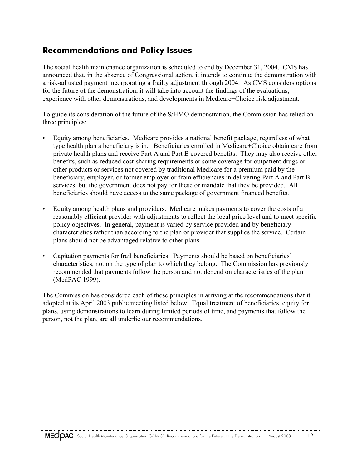# **Recommendations and Policy Issues**

The social health maintenance organization is scheduled to end by December 31, 2004. CMS has announced that, in the absence of Congressional action, it intends to continue the demonstration with a risk-adjusted payment incorporating a frailty adjustment through 2004. As CMS considers options for the future of the demonstration, it will take into account the findings of the evaluations, experience with other demonstrations, and developments in Medicare+Choice risk adjustment.

To guide its consideration of the future of the S/HMO demonstration, the Commission has relied on three principles:

- Equity among beneficiaries. Medicare provides a national benefit package, regardless of what type health plan a beneficiary is in. Beneficiaries enrolled in Medicare+Choice obtain care from private health plans and receive Part A and Part B covered benefits. They may also receive other benefits, such as reduced cost-sharing requirements or some coverage for outpatient drugs or other products or services not covered by traditional Medicare for a premium paid by the beneficiary, employer, or former employer or from efficiencies in delivering Part A and Part B services, but the government does not pay for these or mandate that they be provided. All beneficiaries should have access to the same package of government financed benefits.
- Equity among health plans and providers. Medicare makes payments to cover the costs of a reasonably efficient provider with adjustments to reflect the local price level and to meet specific policy objectives. In general, payment is varied by service provided and by beneficiary characteristics rather than according to the plan or provider that supplies the service. Certain plans should not be advantaged relative to other plans.
- Capitation payments for frail beneficiaries. Payments should be based on beneficiaries' characteristics, not on the type of plan to which they belong. The Commission has previously recommended that payments follow the person and not depend on characteristics of the plan (MedPAC 1999).

The Commission has considered each of these principles in arriving at the recommendations that it adopted at its April 2003 public meeting listed below. Equal treatment of beneficiaries, equity for plans, using demonstrations to learn during limited periods of time, and payments that follow the person, not the plan, are all underlie our recommendations.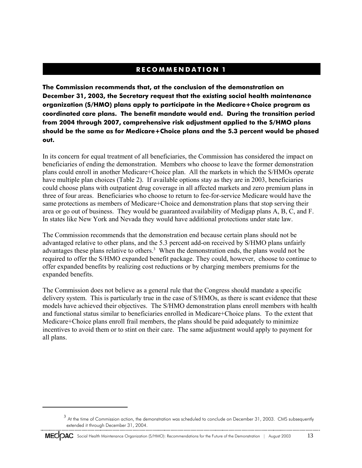# **RECOMMENDATION 1**

**The Commission recommends that, at the conclusion of the demonstration on December 31, 2003, the Secretary request that the existing social health maintenance organization (S/HMO) plans apply to participate in the Medicare+Choice program as coordinated care plans. The benefit mandate would end. During the transition period from 2004 through 2007, comprehensive risk adjustment applied to the S/HMO plans should be the same as for Medicare+Choice plans and the 5.3 percent would be phased out.**

In its concern for equal treatment of all beneficiaries, the Commission has considered the impact on beneficiaries of ending the demonstration. Members who choose to leave the former demonstration plans could enroll in another Medicare+Choice plan. All the markets in which the S/HMOs operate have multiple plan choices (Table 2). If available options stay as they are in 2003, beneficiaries could choose plans with outpatient drug coverage in all affected markets and zero premium plans in three of four areas. Beneficiaries who choose to return to fee-for-service Medicare would have the same protections as members of Medicare+Choice and demonstration plans that stop serving their area or go out of business. They would be guaranteed availability of Medigap plans A, B, C, and F. In states like New York and Nevada they would have additional protections under state law.

The Commission recommends that the demonstration end because certain plans should not be advantaged relative to other plans, and the 5.3 percent add-on received by S/HMO plans unfairly advantages these plans relative to others.<sup>3</sup> When the demonstration ends, the plans would not be required to offer the S/HMO expanded benefit package. They could, however, choose to continue to offer expanded benefits by realizing cost reductions or by charging members premiums for the expanded benefits.

The Commission does not believe as a general rule that the Congress should mandate a specific delivery system. This is particularly true in the case of S/HMOs, as there is scant evidence that these models have achieved their objectives. The S/HMO demonstration plans enroll members with health and functional status similar to beneficiaries enrolled in Medicare+Choice plans. To the extent that Medicare+Choice plans enroll frail members, the plans should be paid adequately to minimize incentives to avoid them or to stint on their care. The same adjustment would apply to payment for all plans.

 $3$  At the time of Commission action, the demonstration was scheduled to conclude on December 31, 2003. CMS subsequently extended it through December 31, 2004.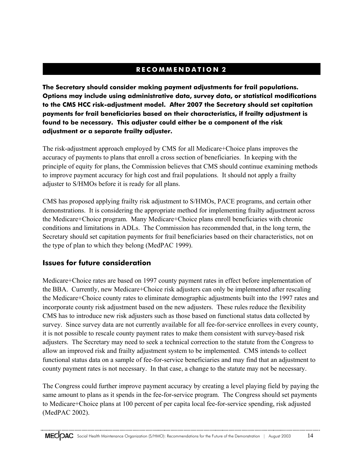# **RECOMMENDATION 2**

**The Secretary should consider making payment adjustments for frail populations. Options may include using administrative data, survey data, or statistical modifications to the CMS HCC risk-adjustment model. After 2007 the Secretary should set capitation payments for frail beneficiaries based on their characteristics, if frailty adjustment is found to be necessary. This adjuster could either be a component of the risk adjustment or a separate frailty adjuster.**

The risk-adjustment approach employed by CMS for all Medicare+Choice plans improves the accuracy of payments to plans that enroll a cross section of beneficiaries. In keeping with the principle of equity for plans, the Commission believes that CMS should continue examining methods to improve payment accuracy for high cost and frail populations. It should not apply a frailty adjuster to S/HMOs before it is ready for all plans.

CMS has proposed applying frailty risk adjustment to S/HMOs, PACE programs, and certain other demonstrations. It is considering the appropriate method for implementing frailty adjustment across the Medicare+Choice program. Many Medicare+Choice plans enroll beneficiaries with chronic conditions and limitations in ADLs. The Commission has recommended that, in the long term, the Secretary should set capitation payments for frail beneficiaries based on their characteristics, not on the type of plan to which they belong (MedPAC 1999).

## **Issues for future consideration**

Medicare+Choice rates are based on 1997 county payment rates in effect before implementation of the BBA. Currently, new Medicare+Choice risk adjusters can only be implemented after rescaling the Medicare+Choice county rates to eliminate demographic adjustments built into the 1997 rates and incorporate county risk adjustment based on the new adjusters. These rules reduce the flexibility CMS has to introduce new risk adjusters such as those based on functional status data collected by survey. Since survey data are not currently available for all fee-for-service enrollees in every county, it is not possible to rescale county payment rates to make them consistent with survey-based risk adjusters. The Secretary may need to seek a technical correction to the statute from the Congress to allow an improved risk and frailty adjustment system to be implemented. CMS intends to collect functional status data on a sample of fee-for-service beneficiaries and may find that an adjustment to county payment rates is not necessary. In that case, a change to the statute may not be necessary.

The Congress could further improve payment accuracy by creating a level playing field by paying the same amount to plans as it spends in the fee-for-service program. The Congress should set payments to Medicare+Choice plans at 100 percent of per capita local fee-for-service spending, risk adjusted (MedPAC 2002).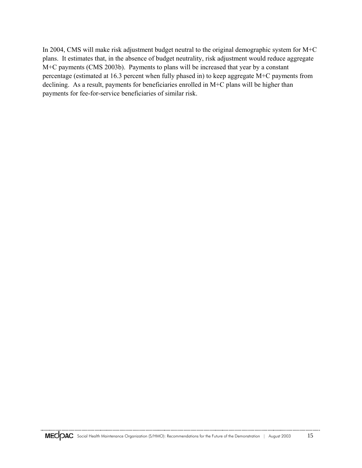In 2004, CMS will make risk adjustment budget neutral to the original demographic system for M+C plans. It estimates that, in the absence of budget neutrality, risk adjustment would reduce aggregate M+C payments (CMS 2003b). Payments to plans will be increased that year by a constant percentage (estimated at 16.3 percent when fully phased in) to keep aggregate M+C payments from declining. As a result, payments for beneficiaries enrolled in M+C plans will be higher than payments for fee-for-service beneficiaries of similar risk.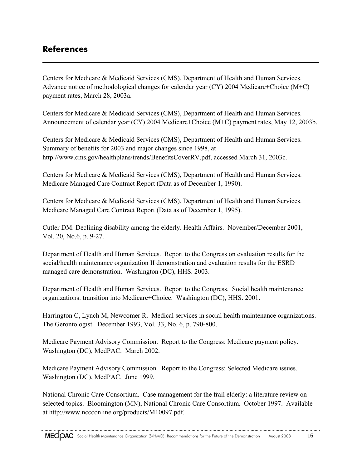# **References**

Centers for Medicare & Medicaid Services (CMS), Department of Health and Human Services. Advance notice of methodological changes for calendar year (CY) 2004 Medicare+Choice (M+C) payment rates, March 28, 2003a.

Centers for Medicare & Medicaid Services (CMS), Department of Health and Human Services. Announcement of calendar year (CY) 2004 Medicare+Choice (M+C) payment rates, May 12, 2003b.

Centers for Medicare & Medicaid Services (CMS), Department of Health and Human Services. Summary of benefits for 2003 and major changes since 1998, at http://www.cms.gov/healthplans/trends/BenefitsCoverRV.pdf, accessed March 31, 2003c.

Centers for Medicare & Medicaid Services (CMS), Department of Health and Human Services. Medicare Managed Care Contract Report (Data as of December 1, 1990).

Centers for Medicare & Medicaid Services (CMS), Department of Health and Human Services. Medicare Managed Care Contract Report (Data as of December 1, 1995).

Cutler DM. Declining disability among the elderly. Health Affairs. November/December 2001, Vol. 20, No.6, p. 9-27.

Department of Health and Human Services. Report to the Congress on evaluation results for the social/health maintenance organization II demonstration and evaluation results for the ESRD managed care demonstration. Washington (DC), HHS. 2003.

Department of Health and Human Services. Report to the Congress. Social health maintenance organizations: transition into Medicare+Choice. Washington (DC), HHS. 2001.

Harrington C, Lynch M, Newcomer R. Medical services in social health maintenance organizations. The Gerontologist. December 1993, Vol. 33, No. 6, p. 790-800.

Medicare Payment Advisory Commission. Report to the Congress: Medicare payment policy. Washington (DC), MedPAC. March 2002.

Medicare Payment Advisory Commission. Report to the Congress: Selected Medicare issues. Washington (DC), MedPAC. June 1999.

National Chronic Care Consortium. Case management for the frail elderly: a literature review on selected topics. Bloomington (MN), National Chronic Care Consortium. October 1997. Available at http://www.nccconline.org/products/M10097.pdf.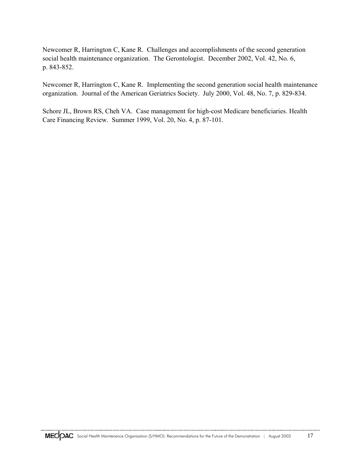Newcomer R, Harrington C, Kane R. Challenges and accomplishments of the second generation social health maintenance organization. The Gerontologist. December 2002, Vol. 42, No. 6, p. 843-852.

Newcomer R, Harrington C, Kane R. Implementing the second generation social health maintenance organization. Journal of the American Geriatrics Society. July 2000, Vol. 48, No. 7, p. 829-834.

Schore JL, Brown RS, Cheh VA. Case management for high-cost Medicare beneficiaries. Health Care Financing Review. Summer 1999, Vol. 20, No. 4, p. 87-101.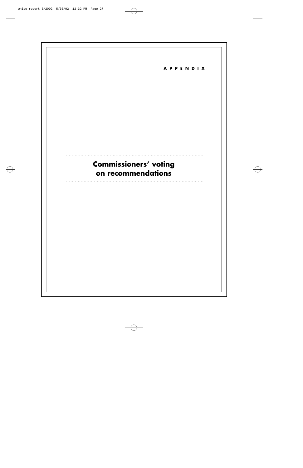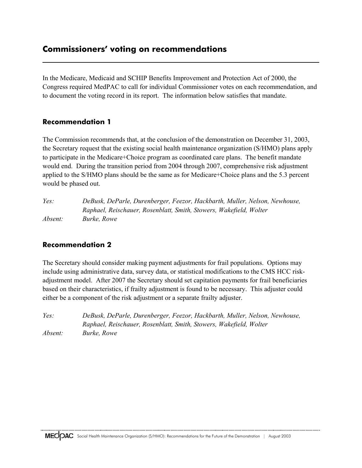# **Commissioners' voting on recommendations**

In the Medicare, Medicaid and SCHIP Benefits Improvement and Protection Act of 2000, the Congress required MedPAC to call for individual Commissioner votes on each recommendation, and to document the voting record in its report. The information below satisfies that mandate.

## **Recommendation 1**

The Commission recommends that, at the conclusion of the demonstration on December 31, 2003, the Secretary request that the existing social health maintenance organization (S/HMO) plans apply to participate in the Medicare+Choice program as coordinated care plans. The benefit mandate would end. During the transition period from 2004 through 2007, comprehensive risk adjustment applied to the S/HMO plans should be the same as for Medicare+Choice plans and the 5.3 percent would be phased out.

*Yes: DeBusk, DeParle, Durenberger, Feezor, Hackbarth, Muller, Nelson, Newhouse, Raphael, Reischauer, Rosenblatt, Smith, Stowers, Wakefield, Wolter Absent: Burke, Rowe*

### **Recommendation 2**

The Secretary should consider making payment adjustments for frail populations. Options may include using administrative data, survey data, or statistical modifications to the CMS HCC riskadjustment model. After 2007 the Secretary should set capitation payments for frail beneficiaries based on their characteristics, if frailty adjustment is found to be necessary. This adjuster could either be a component of the risk adjustment or a separate frailty adjuster.

*Yes: DeBusk, DeParle, Durenberger, Feezor, Hackbarth, Muller, Nelson, Newhouse, Raphael, Reischauer, Rosenblatt, Smith, Stowers, Wakefield, Wolter Absent: Burke, Rowe*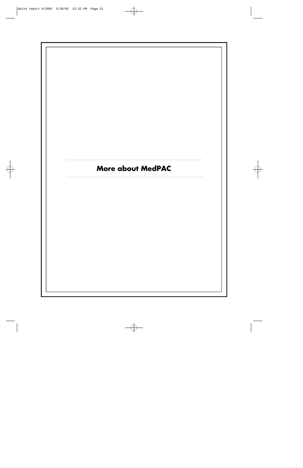# More about MedPAC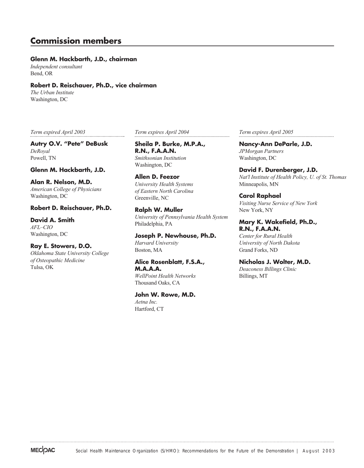# **Commission members**

#### **Glenn M. Hackbarth, J.D., chairman**

*Independent consultant* Bend, OR

#### **Robert D. Reischauer, Ph.D., vice chairman**

*The Urban Institute* Washington, DC

*Term expired April 2003*

**Autry O.V. "Pete" DeBusk** *DeRoyal* Powell, TN

#### **Glenn M. Hackbarth, J.D.**

**Alan R. Nelson, M.D.** *American College of Physicians* Washington, DC

#### **Robert D. Reischauer, Ph.D.**

**David A. Smith** *AFL–CIO* Washington, DC

#### **Ray E. Stowers, D.O.**

*Oklahoma State University College of Osteopathic Medicine* Tulsa, OK

*Term expires April 2004*

**Sheila P. Burke, M.P.A., R.N., F.A.A.N.** *Smithsonian Institution* Washington, DC

**Allen D. Feezor** *University Health Systems of Eastern North Carolina* Greenville, NC

**Ralph W. Muller** *University of Pennsylvania Health System* Philadelphia, PA

**Joseph P. Newhouse, Ph.D.** *Harvard University* Boston, MA

**Alice Rosenblatt, F.S.A., M.A.A.A.** *WellPoint Health Networks*

Thousand Oaks, CA

**John W. Rowe, M.D.** *Aetna Inc.*

Hartford, CT

*Term expires April 2005*

**Nancy-Ann DeParle, J.D.** *JPMorgan Partners* Washington, DC

**David F. Durenberger, J.D.** *Nat'l Institute of Health Policy, U. of St. Thomas* Minneapolis, MN

**Carol Raphael** *Visiting Nurse Service of New York* New York, NY

#### **Mary K. Wakefield, Ph.D., R.N., F.A.A.N.**

*Center for Rural Health University of North Dakota* Grand Forks, ND

**Nicholas J. Wolter, M.D.**

*Deaconess Billings Clinic* Billings, MT

**MECOAC**